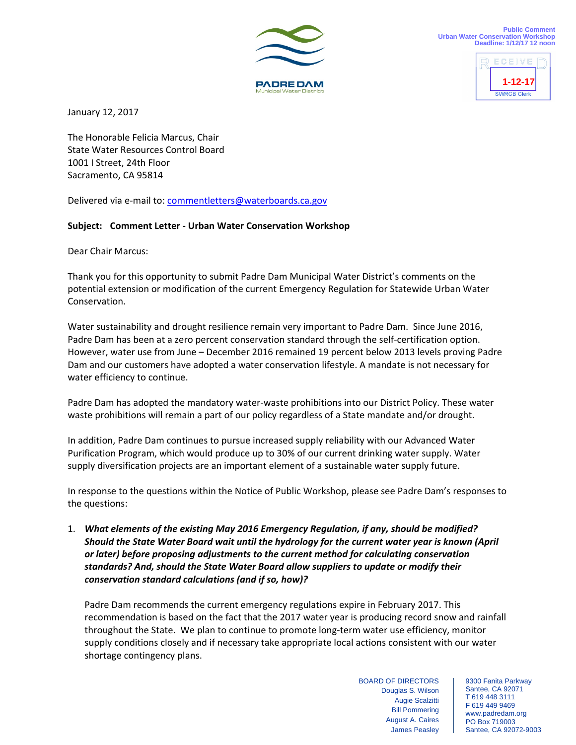



January 12, 2017

The Honorable Felicia Marcus, Chair State Water Resources Control Board 1001 I Street, 24th Floor Sacramento, CA 95814

Delivered via e-mail to: commentletters@waterboards.ca.gov

## **Subject: Comment Letter ‐ Urban Water Conservation Workshop**

Dear Chair Marcus:

Thank you for this opportunity to submit Padre Dam Municipal Water District's comments on the potential extension or modification of the current Emergency Regulation for Statewide Urban Water Conservation.

Water sustainability and drought resilience remain very important to Padre Dam. Since June 2016, Padre Dam has been at a zero percent conservation standard through the self‐certification option. However, water use from June – December 2016 remained 19 percent below 2013 levels proving Padre Dam and our customers have adopted a water conservation lifestyle. A mandate is not necessary for water efficiency to continue.

Padre Dam has adopted the mandatory water‐waste prohibitions into our District Policy. These water waste prohibitions will remain a part of our policy regardless of a State mandate and/or drought.

In addition, Padre Dam continues to pursue increased supply reliability with our Advanced Water Purification Program, which would produce up to 30% of our current drinking water supply. Water supply diversification projects are an important element of a sustainable water supply future.

In response to the questions within the Notice of Public Workshop, please see Padre Dam's responses to the questions:

1. *What elements of the existing May 2016 Emergency Regulation, if any, should be modified? Should the State Water Board wait until the hydrology for the current water year is known (April or later) before proposing adjustments to the current method for calculating conservation standards? And, should the State Water Board allow suppliers to update or modify their conservation standard calculations (and if so, how)?*

Padre Dam recommends the current emergency regulations expire in February 2017. This recommendation is based on the fact that the 2017 water year is producing record snow and rainfall throughout the State. We plan to continue to promote long‐term water use efficiency, monitor supply conditions closely and if necessary take appropriate local actions consistent with our water shortage contingency plans.

> BOARD OF DIRECTORS Douglas S. Wilson Augie Scalzitti Bill Pommering August A. Caires James Peasley

9300 Fanita Parkway Santee, CA 92071 T 619 448 3111 F 619 449 9469 www.padredam.org PO Box 719003 Santee, CA 92072-9003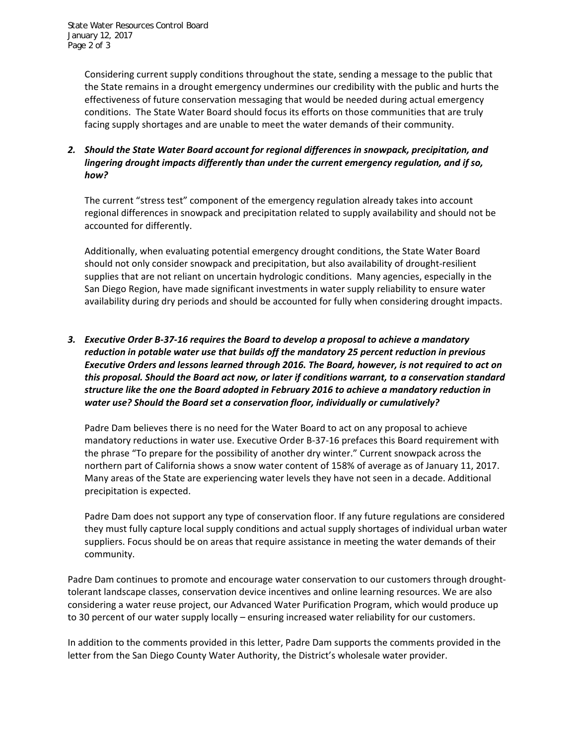Considering current supply conditions throughout the state, sending a message to the public that the State remains in a drought emergency undermines our credibility with the public and hurts the effectiveness of future conservation messaging that would be needed during actual emergency conditions. The State Water Board should focus its efforts on those communities that are truly facing supply shortages and are unable to meet the water demands of their community.

## *2. Should the State Water Board account for regional differences in snowpack, precipitation, and lingering drought impacts differently than under the current emergency regulation, and if so, how?*

The current "stress test" component of the emergency regulation already takes into account regional differences in snowpack and precipitation related to supply availability and should not be accounted for differently.

Additionally, when evaluating potential emergency drought conditions, the State Water Board should not only consider snowpack and precipitation, but also availability of drought‐resilient supplies that are not reliant on uncertain hydrologic conditions. Many agencies, especially in the San Diego Region, have made significant investments in water supply reliability to ensure water availability during dry periods and should be accounted for fully when considering drought impacts.

## *3. Executive Order B‐37‐16 requires the Board to develop a proposal to achieve a mandatory reduction in potable water use that builds off the mandatory 25 percent reduction in previous Executive Orders and lessons learned through 2016. The Board, however, is not required to act on this proposal. Should the Board act now, or later if conditions warrant, to a conservation standard structure like the one the Board adopted in February 2016 to achieve a mandatory reduction in water use? Should the Board set a conservation floor, individually or cumulatively?*

Padre Dam believes there is no need for the Water Board to act on any proposal to achieve mandatory reductions in water use. Executive Order B‐37‐16 prefaces this Board requirement with the phrase "To prepare for the possibility of another dry winter." Current snowpack across the northern part of California shows a snow water content of 158% of average as of January 11, 2017. Many areas of the State are experiencing water levels they have not seen in a decade. Additional precipitation is expected.

Padre Dam does not support any type of conservation floor. If any future regulations are considered they must fully capture local supply conditions and actual supply shortages of individual urban water suppliers. Focus should be on areas that require assistance in meeting the water demands of their community.

Padre Dam continues to promote and encourage water conservation to our customers through drought‐ tolerant landscape classes, conservation device incentives and online learning resources. We are also considering a water reuse project, our Advanced Water Purification Program, which would produce up to 30 percent of our water supply locally – ensuring increased water reliability for our customers.

In addition to the comments provided in this letter, Padre Dam supports the comments provided in the letter from the San Diego County Water Authority, the District's wholesale water provider.